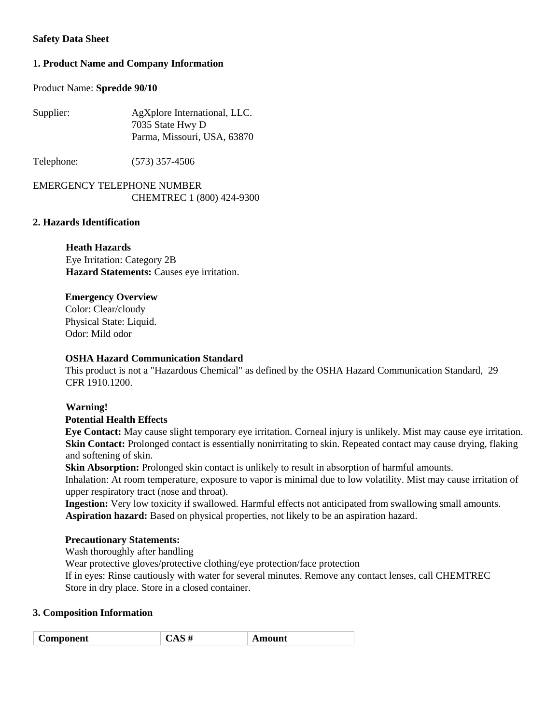# **Safety Data Sheet**

# **1. Product Name and Company Information**

# Product Name: **Spredde 90/10**

| Supplier: | AgXplore International, LLC. |
|-----------|------------------------------|
|           | 7035 State Hwy D             |
|           | Parma, Missouri, USA, 63870  |

Telephone: (573) 357-4506

EMERGENCY TELEPHONE NUMBER CHEMTREC 1 (800) 424-9300

# **2. Hazards Identification**

# **Heath Hazards**

Eye Irritation: Category 2B **Hazard Statements:** Causes eye irritation.

# **Emergency Overview**

Color: Clear/cloudy Physical State: Liquid. Odor: Mild odor

# **OSHA Hazard Communication Standard**

This product is not a "Hazardous Chemical" as defined by the OSHA Hazard Communication Standard, 29 CFR 1910.1200.

# **Warning!**

# **Potential Health Effects**

**Eye Contact:** May cause slight temporary eye irritation. Corneal injury is unlikely. Mist may cause eye irritation. **Skin Contact:** Prolonged contact is essentially nonirritating to skin. Repeated contact may cause drying, flaking and softening of skin.

**Skin Absorption:** Prolonged skin contact is unlikely to result in absorption of harmful amounts.

Inhalation: At room temperature, exposure to vapor is minimal due to low volatility. Mist may cause irritation of upper respiratory tract (nose and throat).

**Ingestion:** Very low toxicity if swallowed. Harmful effects not anticipated from swallowing small amounts. **Aspiration hazard:** Based on physical properties, not likely to be an aspiration hazard.

# **Precautionary Statements:**

Wash thoroughly after handling

Wear protective gloves/protective clothing/eye protection/face protection

If in eyes: Rinse cautiously with water for several minutes. Remove any contact lenses, call CHEMTREC Store in dry place. Store in a closed container.

# **3. Composition Information**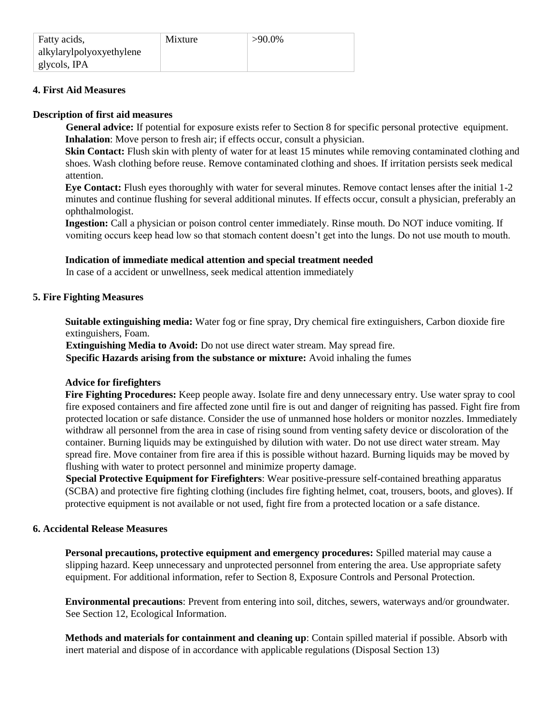# **4. First Aid Measures**

### **Description of first aid measures**

**General advice:** If potential for exposure exists refer to Section 8 for specific personal protective equipment. **Inhalation**: Move person to fresh air; if effects occur, consult a physician.

**Skin Contact:** Flush skin with plenty of water for at least 15 minutes while removing contaminated clothing and shoes. Wash clothing before reuse. Remove contaminated clothing and shoes. If irritation persists seek medical attention.

**Eye Contact:** Flush eyes thoroughly with water for several minutes. Remove contact lenses after the initial 1-2 minutes and continue flushing for several additional minutes. If effects occur, consult a physician, preferably an ophthalmologist.

**Ingestion:** Call a physician or poison control center immediately. Rinse mouth. Do NOT induce vomiting. If vomiting occurs keep head low so that stomach content doesn't get into the lungs. Do not use mouth to mouth.

# **Indication of immediate medical attention and special treatment needed**

In case of a accident or unwellness, seek medical attention immediately

# **5. Fire Fighting Measures**

**Suitable extinguishing media:** Water fog or fine spray, Dry chemical fire extinguishers, Carbon dioxide fire extinguishers, Foam.

**Extinguishing Media to Avoid:** Do not use direct water stream. May spread fire. **Specific Hazards arising from the substance or mixture:** Avoid inhaling the fumes

# **Advice for firefighters**

**Fire Fighting Procedures:** Keep people away. Isolate fire and deny unnecessary entry. Use water spray to cool fire exposed containers and fire affected zone until fire is out and danger of reigniting has passed. Fight fire from protected location or safe distance. Consider the use of unmanned hose holders or monitor nozzles. Immediately withdraw all personnel from the area in case of rising sound from venting safety device or discoloration of the container. Burning liquids may be extinguished by dilution with water. Do not use direct water stream. May spread fire. Move container from fire area if this is possible without hazard. Burning liquids may be moved by flushing with water to protect personnel and minimize property damage.

**Special Protective Equipment for Firefighters**: Wear positive-pressure self-contained breathing apparatus (SCBA) and protective fire fighting clothing (includes fire fighting helmet, coat, trousers, boots, and gloves). If protective equipment is not available or not used, fight fire from a protected location or a safe distance.

# **6. Accidental Release Measures**

**Personal precautions, protective equipment and emergency procedures:** Spilled material may cause a slipping hazard. Keep unnecessary and unprotected personnel from entering the area. Use appropriate safety equipment. For additional information, refer to Section 8, Exposure Controls and Personal Protection.

**Environmental precautions**: Prevent from entering into soil, ditches, sewers, waterways and/or groundwater. See Section 12, Ecological Information.

**Methods and materials for containment and cleaning up**: Contain spilled material if possible. Absorb with inert material and dispose of in accordance with applicable regulations (Disposal Section 13)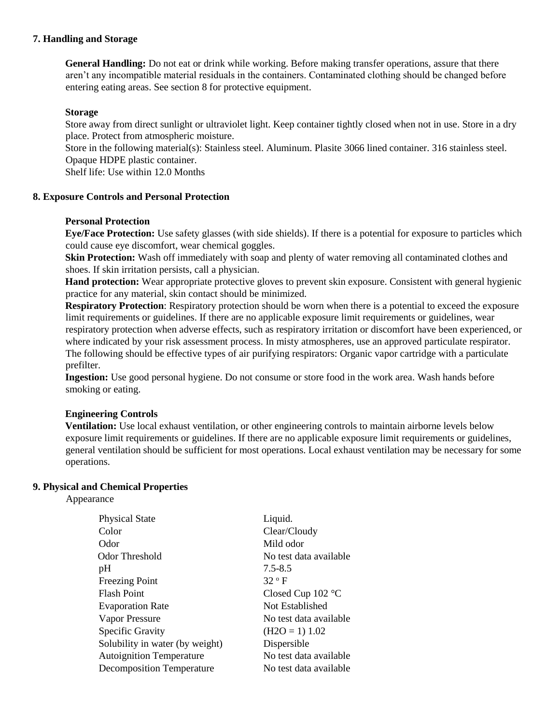# **7. Handling and Storage**

**General Handling:** Do not eat or drink while working. Before making transfer operations, assure that there aren't any incompatible material residuals in the containers. Contaminated clothing should be changed before entering eating areas. See section 8 for protective equipment.

#### **Storage**

Store away from direct sunlight or ultraviolet light. Keep container tightly closed when not in use. Store in a dry place. Protect from atmospheric moisture.

Store in the following material(s): Stainless steel. Aluminum. Plasite 3066 lined container. 316 stainless steel. Opaque HDPE plastic container.

Shelf life: Use within 12.0 Months

# **8. Exposure Controls and Personal Protection**

### **Personal Protection**

**Eye/Face Protection:** Use safety glasses (with side shields). If there is a potential for exposure to particles which could cause eye discomfort, wear chemical goggles.

**Skin Protection:** Wash off immediately with soap and plenty of water removing all contaminated clothes and shoes. If skin irritation persists, call a physician.

**Hand protection:** Wear appropriate protective gloves to prevent skin exposure. Consistent with general hygienic practice for any material, skin contact should be minimized.

**Respiratory Protection**: Respiratory protection should be worn when there is a potential to exceed the exposure limit requirements or guidelines. If there are no applicable exposure limit requirements or guidelines, wear respiratory protection when adverse effects, such as respiratory irritation or discomfort have been experienced, or where indicated by your risk assessment process. In misty atmospheres, use an approved particulate respirator. The following should be effective types of air purifying respirators: Organic vapor cartridge with a particulate prefilter.

**Ingestion:** Use good personal hygiene. Do not consume or store food in the work area. Wash hands before smoking or eating.

# **Engineering Controls**

**Ventilation:** Use local exhaust ventilation, or other engineering controls to maintain airborne levels below exposure limit requirements or guidelines. If there are no applicable exposure limit requirements or guidelines, general ventilation should be sufficient for most operations. Local exhaust ventilation may be necessary for some operations.

#### **9. Physical and Chemical Properties**

Appearance

| <b>Physical State</b>            | Liquid.                |
|----------------------------------|------------------------|
| Color                            | Clear/Cloudy           |
| Odor                             | Mild odor              |
| Odor Threshold                   | No test data available |
| pH                               | $7.5 - 8.5$            |
| <b>Freezing Point</b>            | $32^{\circ}$ F         |
| <b>Flash Point</b>               | Closed Cup $102$ °C    |
| <b>Evaporation Rate</b>          | Not Established        |
| Vapor Pressure                   | No test data available |
| <b>Specific Gravity</b>          | $(H2O = 1) 1.02$       |
| Solubility in water (by weight)  | Dispersible            |
| <b>Autoignition Temperature</b>  | No test data available |
| <b>Decomposition Temperature</b> | No test data available |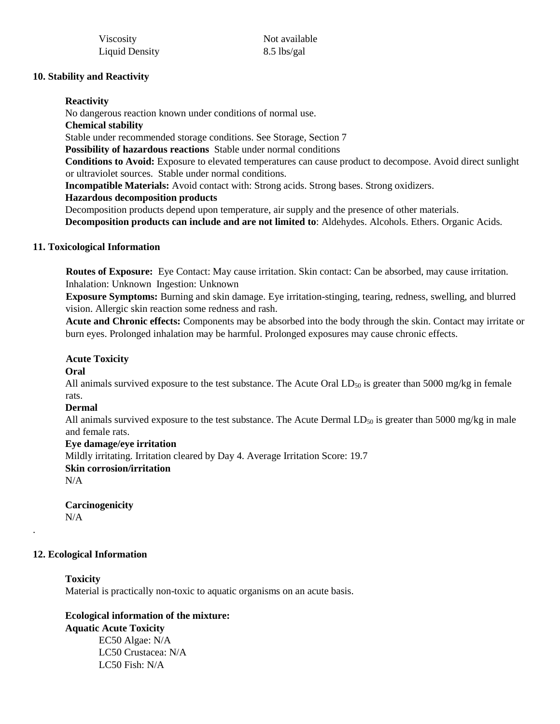| Viscosity             |  |
|-----------------------|--|
| <b>Liquid Density</b> |  |

Not available  $8.5$  lbs/gal

# **10. Stability and Reactivity**

### **Reactivity**

No dangerous reaction known under conditions of normal use. **Chemical stability**  Stable under recommended storage conditions. See Storage, Section 7 **Possibility of hazardous reactions** Stable under normal conditions **Conditions to Avoid:** Exposure to elevated temperatures can cause product to decompose. Avoid direct sunlight or ultraviolet sources. Stable under normal conditions. **Incompatible Materials:** Avoid contact with: Strong acids. Strong bases. Strong oxidizers. **Hazardous decomposition products**  Decomposition products depend upon temperature, air supply and the presence of other materials.

**Decomposition products can include and are not limited to**: Aldehydes. Alcohols. Ethers. Organic Acids.

# **11. Toxicological Information**

**Routes of Exposure:** Eye Contact: May cause irritation. Skin contact: Can be absorbed, may cause irritation. Inhalation: Unknown Ingestion: Unknown

**Exposure Symptoms:** Burning and skin damage. Eye irritation-stinging, tearing, redness, swelling, and blurred vision. Allergic skin reaction some redness and rash.

**Acute and Chronic effects:** Components may be absorbed into the body through the skin. Contact may irritate or burn eyes. Prolonged inhalation may be harmful. Prolonged exposures may cause chronic effects.

#### **Acute Toxicity**

**Oral** 

All animals survived exposure to the test substance. The Acute Oral  $LD_{50}$  is greater than 5000 mg/kg in female rats.

#### **Dermal**

All animals survived exposure to the test substance. The Acute Dermal  $LD_{50}$  is greater than 5000 mg/kg in male and female rats.

#### **Eye damage/eye irritation**

Mildly irritating. Irritation cleared by Day 4. Average Irritation Score: 19.7

# **Skin corrosion/irritation**

 $N/A$ 

.

#### **Carcinogenicity**   $N/A$

# **12. Ecological Information**

**Toxicity**  Material is practically non-toxic to aquatic organisms on an acute basis.

# **Ecological information of the mixture: Aquatic Acute Toxicity** EC50 Algae: N/A

LC50 Crustacea: N/A LC50 Fish: N/A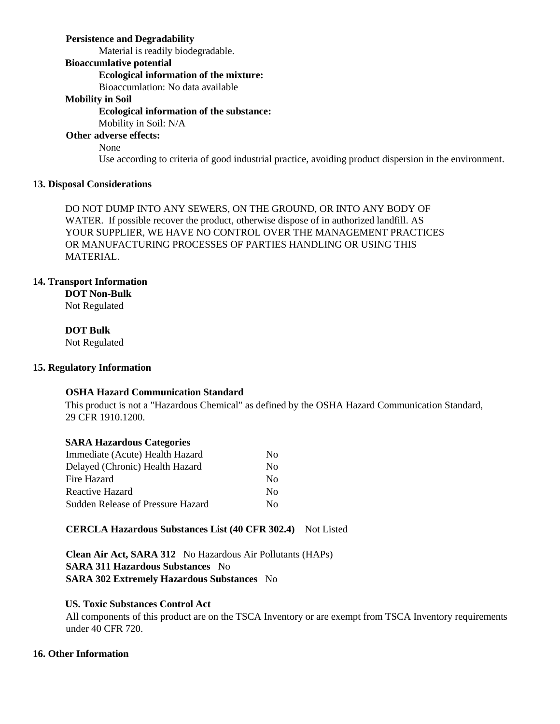# **Persistence and Degradability**

Material is readily biodegradable.

### **Bioaccumlative potential**

# **Ecological information of the mixture:**

Bioaccumlation: No data available

# **Mobility in Soil**

# **Ecological information of the substance:**

Mobility in Soil: N/A

# **Other adverse effects:**

None

Use according to criteria of good industrial practice, avoiding product dispersion in the environment.

# **13. Disposal Considerations**

DO NOT DUMP INTO ANY SEWERS, ON THE GROUND, OR INTO ANY BODY OF WATER. If possible recover the product, otherwise dispose of in authorized landfill. AS YOUR SUPPLIER, WE HAVE NO CONTROL OVER THE MANAGEMENT PRACTICES OR MANUFACTURING PROCESSES OF PARTIES HANDLING OR USING THIS MATERIAL.

# **14. Transport Information**

**DOT Non-Bulk** 

Not Regulated

**DOT Bulk**  Not Regulated

# **15. Regulatory Information**

# **OSHA Hazard Communication Standard**

This product is not a "Hazardous Chemical" as defined by the OSHA Hazard Communication Standard, 29 CFR 1910.1200.

# **SARA Hazardous Categories**

| Immediate (Acute) Health Hazard          | Nο             |
|------------------------------------------|----------------|
| Delayed (Chronic) Health Hazard          | $\overline{N}$ |
| Fire Hazard                              | No.            |
| Reactive Hazard                          | No.            |
| <b>Sudden Release of Pressure Hazard</b> | Nο             |

# **CERCLA Hazardous Substances List (40 CFR 302.4)** Not Listed

**Clean Air Act, SARA 312** No Hazardous Air Pollutants (HAPs) **SARA 311 Hazardous Substances** No **SARA 302 Extremely Hazardous Substances** No

# **US. Toxic Substances Control Act**

All components of this product are on the TSCA Inventory or are exempt from TSCA Inventory requirements under 40 CFR 720.

# **16. Other Information**